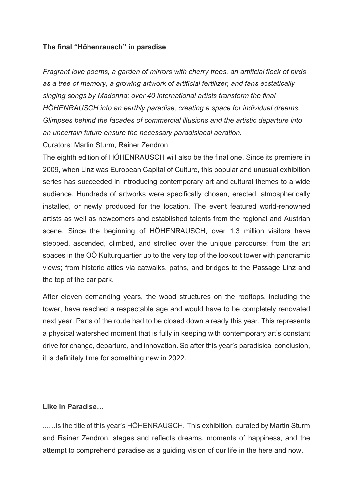## **The final "Höhenrausch" in paradise**

*Fragrant love poems, a garden of mirrors with cherry trees, an artificial flock of birds as a tree of memory, a growing artwork of artificial fertilizer, and fans ecstatically singing songs by Madonna: over 40 international artists transform the final HÖHENRAUSCH into an earthly paradise, creating a space for individual dreams. Glimpses behind the facades of commercial illusions and the artistic departure into an uncertain future ensure the necessary paradisiacal aeration.*

Curators: Martin Sturm, Rainer Zendron

The eighth edition of HÖHENRAUSCH will also be the final one. Since its premiere in 2009, when Linz was European Capital of Culture, this popular and unusual exhibition series has succeeded in introducing contemporary art and cultural themes to a wide audience. Hundreds of artworks were specifically chosen, erected, atmospherically installed, or newly produced for the location. The event featured world-renowned artists as well as newcomers and established talents from the regional and Austrian scene. Since the beginning of HÖHENRAUSCH, over 1.3 million visitors have stepped, ascended, climbed, and strolled over the unique parcourse: from the art spaces in the OÖ Kulturquartier up to the very top of the lookout tower with panoramic views; from historic attics via catwalks, paths, and bridges to the Passage Linz and the top of the car park.

After eleven demanding years, the wood structures on the rooftops, including the tower, have reached a respectable age and would have to be completely renovated next year. Parts of the route had to be closed down already this year. This represents a physical watershed moment that is fully in keeping with contemporary art's constant drive for change, departure, and innovation. So after this year's paradisical conclusion, it is definitely time for something new in 2022.

## **Like in Paradise…**

...…is the title of this year's HÖHENRAUSCH. This exhibition, curated by Martin Sturm and Rainer Zendron, stages and reflects dreams, moments of happiness, and the attempt to comprehend paradise as a guiding vision of our life in the here and now.